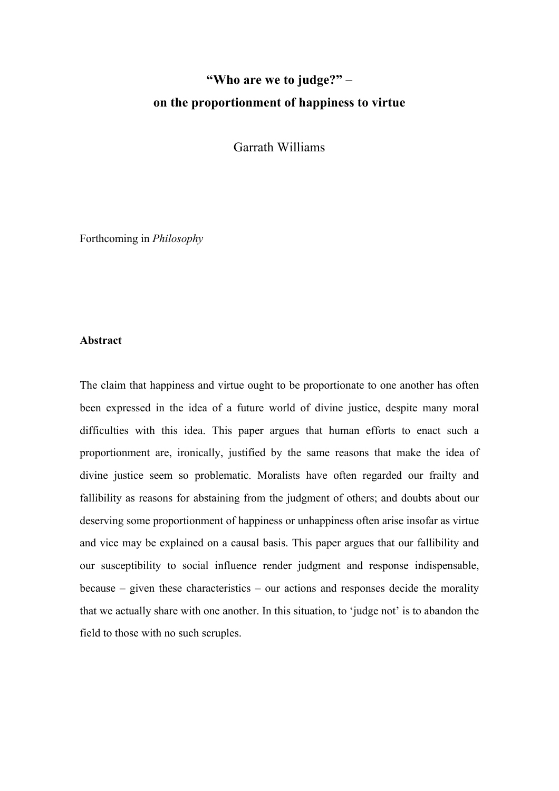# **"Who are we to judge?" – on the proportionment of happiness to virtue**

Garrath Williams

Forthcoming in *Philosophy*

## **Abstract**

The claim that happiness and virtue ought to be proportionate to one another has often been expressed in the idea of a future world of divine justice, despite many moral difficulties with this idea. This paper argues that human efforts to enact such a proportionment are, ironically, justified by the same reasons that make the idea of divine justice seem so problematic. Moralists have often regarded our frailty and fallibility as reasons for abstaining from the judgment of others; and doubts about our deserving some proportionment of happiness or unhappiness often arise insofar as virtue and vice may be explained on a causal basis. This paper argues that our fallibility and our susceptibility to social influence render judgment and response indispensable, because – given these characteristics – our actions and responses decide the morality that we actually share with one another. In this situation, to 'judge not' is to abandon the field to those with no such scruples.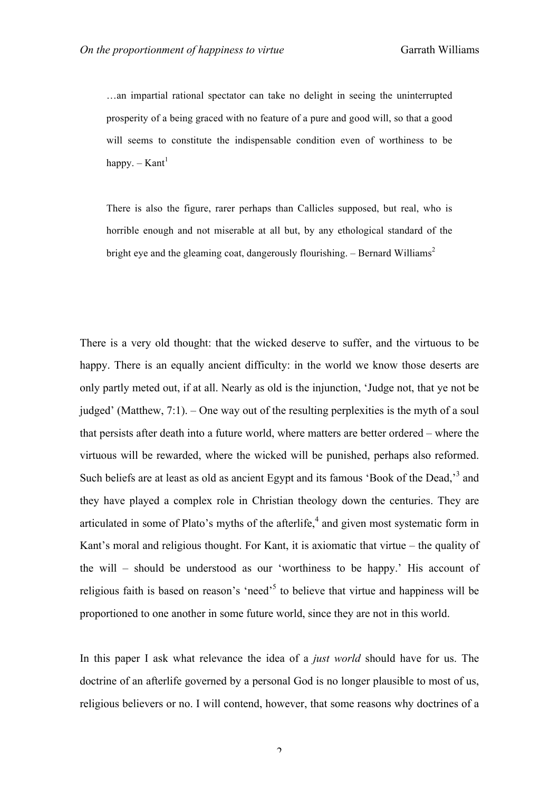…an impartial rational spectator can take no delight in seeing the uninterrupted prosperity of a being graced with no feature of a pure and good will, so that a good will seems to constitute the indispensable condition even of worthiness to be happy.  $-$  Kant<sup>1</sup>

There is also the figure, rarer perhaps than Callicles supposed, but real, who is horrible enough and not miserable at all but, by any ethological standard of the bright eye and the gleaming coat, dangerously flourishing.  $-$  Bernard Williams<sup>2</sup>

There is a very old thought: that the wicked deserve to suffer, and the virtuous to be happy. There is an equally ancient difficulty: in the world we know those deserts are only partly meted out, if at all. Nearly as old is the injunction, 'Judge not, that ye not be judged' (Matthew, 7:1). – One way out of the resulting perplexities is the myth of a soul that persists after death into a future world, where matters are better ordered – where the virtuous will be rewarded, where the wicked will be punished, perhaps also reformed. Such beliefs are at least as old as ancient Egypt and its famous 'Book of the Dead,<sup>3</sup> and they have played a complex role in Christian theology down the centuries. They are articulated in some of Plato's myths of the afterlife, $4$  and given most systematic form in Kant's moral and religious thought. For Kant, it is axiomatic that virtue – the quality of the will – should be understood as our 'worthiness to be happy.' His account of religious faith is based on reason's 'need'<sup>5</sup> to believe that virtue and happiness will be proportioned to one another in some future world, since they are not in this world.

In this paper I ask what relevance the idea of a *just world* should have for us. The doctrine of an afterlife governed by a personal God is no longer plausible to most of us, religious believers or no. I will contend, however, that some reasons why doctrines of a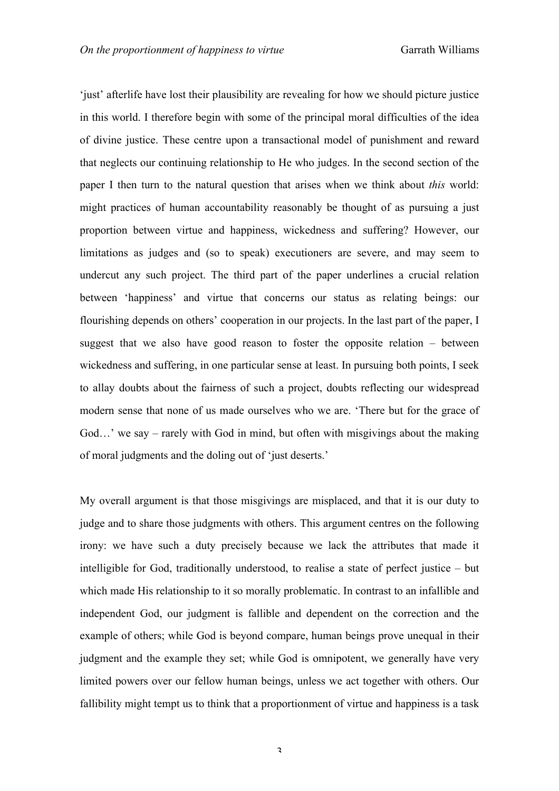'just' afterlife have lost their plausibility are revealing for how we should picture justice in this world. I therefore begin with some of the principal moral difficulties of the idea of divine justice. These centre upon a transactional model of punishment and reward that neglects our continuing relationship to He who judges. In the second section of the paper I then turn to the natural question that arises when we think about *this* world: might practices of human accountability reasonably be thought of as pursuing a just proportion between virtue and happiness, wickedness and suffering? However, our limitations as judges and (so to speak) executioners are severe, and may seem to undercut any such project. The third part of the paper underlines a crucial relation between 'happiness' and virtue that concerns our status as relating beings: our flourishing depends on others' cooperation in our projects. In the last part of the paper, I suggest that we also have good reason to foster the opposite relation – between wickedness and suffering, in one particular sense at least. In pursuing both points, I seek to allay doubts about the fairness of such a project, doubts reflecting our widespread modern sense that none of us made ourselves who we are. 'There but for the grace of God…' we say – rarely with God in mind, but often with misgivings about the making of moral judgments and the doling out of 'just deserts.'

My overall argument is that those misgivings are misplaced, and that it is our duty to judge and to share those judgments with others. This argument centres on the following irony: we have such a duty precisely because we lack the attributes that made it intelligible for God, traditionally understood, to realise a state of perfect justice – but which made His relationship to it so morally problematic. In contrast to an infallible and independent God, our judgment is fallible and dependent on the correction and the example of others; while God is beyond compare, human beings prove unequal in their judgment and the example they set; while God is omnipotent, we generally have very limited powers over our fellow human beings, unless we act together with others. Our fallibility might tempt us to think that a proportionment of virtue and happiness is a task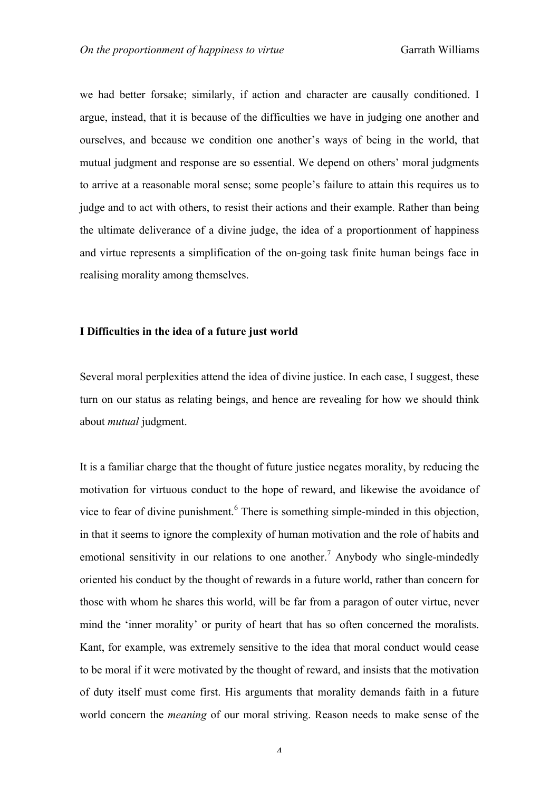we had better forsake; similarly, if action and character are causally conditioned. I argue, instead, that it is because of the difficulties we have in judging one another and ourselves, and because we condition one another's ways of being in the world, that mutual judgment and response are so essential. We depend on others' moral judgments to arrive at a reasonable moral sense; some people's failure to attain this requires us to judge and to act with others, to resist their actions and their example. Rather than being the ultimate deliverance of a divine judge, the idea of a proportionment of happiness and virtue represents a simplification of the on-going task finite human beings face in realising morality among themselves.

#### **I Difficulties in the idea of a future just world**

Several moral perplexities attend the idea of divine justice. In each case, I suggest, these turn on our status as relating beings, and hence are revealing for how we should think about *mutual* judgment.

It is a familiar charge that the thought of future justice negates morality, by reducing the motivation for virtuous conduct to the hope of reward, and likewise the avoidance of vice to fear of divine punishment.<sup>6</sup> There is something simple-minded in this objection, in that it seems to ignore the complexity of human motivation and the role of habits and emotional sensitivity in our relations to one another.<sup>7</sup> Anybody who single-mindedly oriented his conduct by the thought of rewards in a future world, rather than concern for those with whom he shares this world, will be far from a paragon of outer virtue, never mind the 'inner morality' or purity of heart that has so often concerned the moralists. Kant, for example, was extremely sensitive to the idea that moral conduct would cease to be moral if it were motivated by the thought of reward, and insists that the motivation of duty itself must come first. His arguments that morality demands faith in a future world concern the *meaning* of our moral striving. Reason needs to make sense of the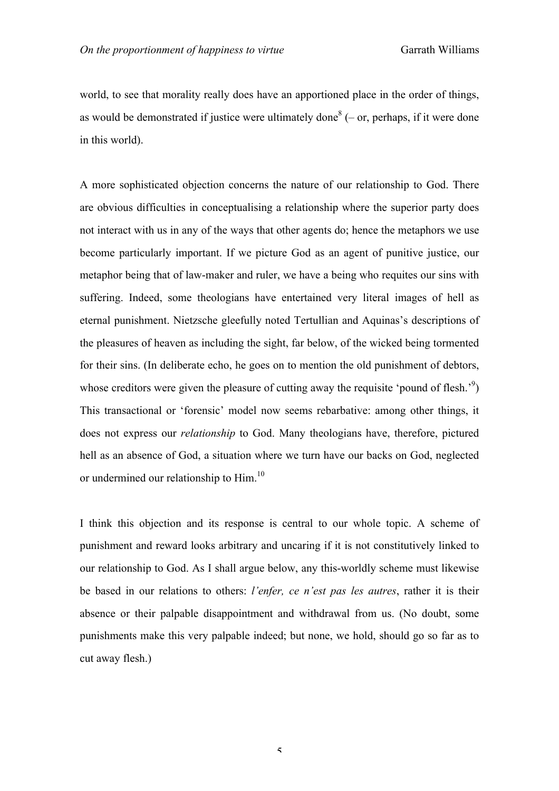world, to see that morality really does have an apportioned place in the order of things, as would be demonstrated if justice were ultimately done<sup>8</sup> ( $-$  or, perhaps, if it were done in this world).

A more sophisticated objection concerns the nature of our relationship to God. There are obvious difficulties in conceptualising a relationship where the superior party does not interact with us in any of the ways that other agents do; hence the metaphors we use become particularly important. If we picture God as an agent of punitive justice, our metaphor being that of law-maker and ruler, we have a being who requites our sins with suffering. Indeed, some theologians have entertained very literal images of hell as eternal punishment. Nietzsche gleefully noted Tertullian and Aquinas's descriptions of the pleasures of heaven as including the sight, far below, of the wicked being tormented for their sins. (In deliberate echo, he goes on to mention the old punishment of debtors, whose creditors were given the pleasure of cutting away the requisite 'pound of flesh.<sup>9</sup>) This transactional or 'forensic' model now seems rebarbative: among other things, it does not express our *relationship* to God. Many theologians have, therefore, pictured hell as an absence of God, a situation where we turn have our backs on God, neglected or undermined our relationship to Him.<sup>10</sup>

I think this objection and its response is central to our whole topic. A scheme of punishment and reward looks arbitrary and uncaring if it is not constitutively linked to our relationship to God. As I shall argue below, any this-worldly scheme must likewise be based in our relations to others: *l'enfer, ce n'est pas les autres*, rather it is their absence or their palpable disappointment and withdrawal from us. (No doubt, some punishments make this very palpable indeed; but none, we hold, should go so far as to cut away flesh.)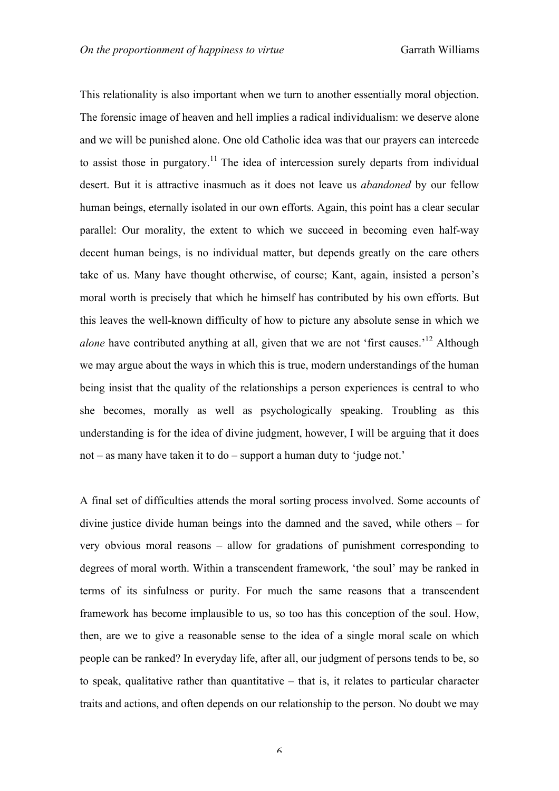This relationality is also important when we turn to another essentially moral objection. The forensic image of heaven and hell implies a radical individualism: we deserve alone and we will be punished alone. One old Catholic idea was that our prayers can intercede to assist those in purgatory.<sup>11</sup> The idea of intercession surely departs from individual desert. But it is attractive inasmuch as it does not leave us *abandoned* by our fellow human beings, eternally isolated in our own efforts. Again, this point has a clear secular parallel: Our morality, the extent to which we succeed in becoming even half-way decent human beings, is no individual matter, but depends greatly on the care others take of us. Many have thought otherwise, of course; Kant, again, insisted a person's moral worth is precisely that which he himself has contributed by his own efforts. But this leaves the well-known difficulty of how to picture any absolute sense in which we *alone* have contributed anything at all, given that we are not 'first causes.'<sup>12</sup> Although we may argue about the ways in which this is true, modern understandings of the human being insist that the quality of the relationships a person experiences is central to who she becomes, morally as well as psychologically speaking. Troubling as this understanding is for the idea of divine judgment, however, I will be arguing that it does not – as many have taken it to do – support a human duty to 'judge not.'

A final set of difficulties attends the moral sorting process involved. Some accounts of divine justice divide human beings into the damned and the saved, while others – for very obvious moral reasons – allow for gradations of punishment corresponding to degrees of moral worth. Within a transcendent framework, 'the soul' may be ranked in terms of its sinfulness or purity. For much the same reasons that a transcendent framework has become implausible to us, so too has this conception of the soul. How, then, are we to give a reasonable sense to the idea of a single moral scale on which people can be ranked? In everyday life, after all, our judgment of persons tends to be, so to speak, qualitative rather than quantitative – that is, it relates to particular character traits and actions, and often depends on our relationship to the person. No doubt we may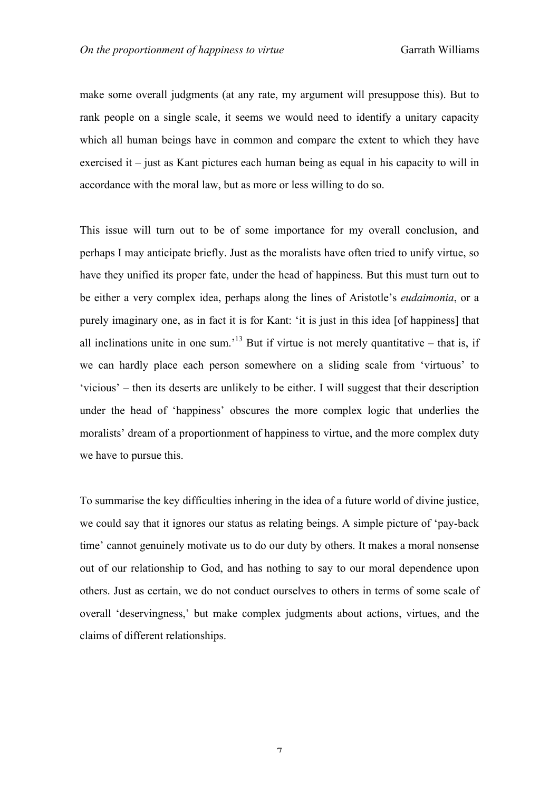make some overall judgments (at any rate, my argument will presuppose this). But to rank people on a single scale, it seems we would need to identify a unitary capacity which all human beings have in common and compare the extent to which they have exercised it – just as Kant pictures each human being as equal in his capacity to will in accordance with the moral law, but as more or less willing to do so.

This issue will turn out to be of some importance for my overall conclusion, and perhaps I may anticipate briefly. Just as the moralists have often tried to unify virtue, so have they unified its proper fate, under the head of happiness. But this must turn out to be either a very complex idea, perhaps along the lines of Aristotle's *eudaimonia*, or a purely imaginary one, as in fact it is for Kant: 'it is just in this idea [of happiness] that all inclinations unite in one sum.<sup>13</sup> But if virtue is not merely quantitative – that is, if we can hardly place each person somewhere on a sliding scale from 'virtuous' to 'vicious' – then its deserts are unlikely to be either. I will suggest that their description under the head of 'happiness' obscures the more complex logic that underlies the moralists' dream of a proportionment of happiness to virtue, and the more complex duty we have to pursue this.

To summarise the key difficulties inhering in the idea of a future world of divine justice, we could say that it ignores our status as relating beings. A simple picture of 'pay-back time' cannot genuinely motivate us to do our duty by others. It makes a moral nonsense out of our relationship to God, and has nothing to say to our moral dependence upon others. Just as certain, we do not conduct ourselves to others in terms of some scale of overall 'deservingness,' but make complex judgments about actions, virtues, and the claims of different relationships.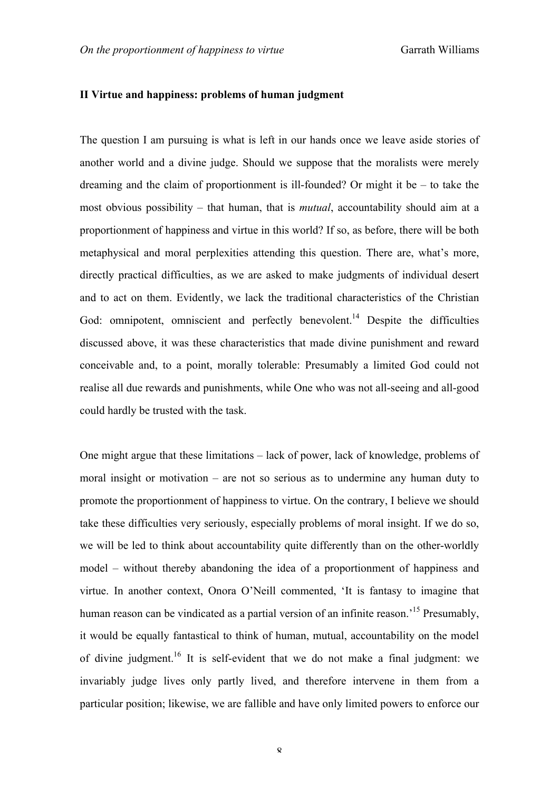### **II Virtue and happiness: problems of human judgment**

The question I am pursuing is what is left in our hands once we leave aside stories of another world and a divine judge. Should we suppose that the moralists were merely dreaming and the claim of proportionment is ill-founded? Or might it be – to take the most obvious possibility – that human, that is *mutual*, accountability should aim at a proportionment of happiness and virtue in this world? If so, as before, there will be both metaphysical and moral perplexities attending this question. There are, what's more, directly practical difficulties, as we are asked to make judgments of individual desert and to act on them. Evidently, we lack the traditional characteristics of the Christian God: omnipotent, omniscient and perfectly benevolent.<sup>14</sup> Despite the difficulties discussed above, it was these characteristics that made divine punishment and reward conceivable and, to a point, morally tolerable: Presumably a limited God could not realise all due rewards and punishments, while One who was not all-seeing and all-good could hardly be trusted with the task.

One might argue that these limitations – lack of power, lack of knowledge, problems of moral insight or motivation – are not so serious as to undermine any human duty to promote the proportionment of happiness to virtue. On the contrary, I believe we should take these difficulties very seriously, especially problems of moral insight. If we do so, we will be led to think about accountability quite differently than on the other-worldly model – without thereby abandoning the idea of a proportionment of happiness and virtue. In another context, Onora O'Neill commented, 'It is fantasy to imagine that human reason can be vindicated as a partial version of an infinite reason.<sup>15</sup> Presumably, it would be equally fantastical to think of human, mutual, accountability on the model of divine judgment.16 It is self-evident that we do not make a final judgment: we invariably judge lives only partly lived, and therefore intervene in them from a particular position; likewise, we are fallible and have only limited powers to enforce our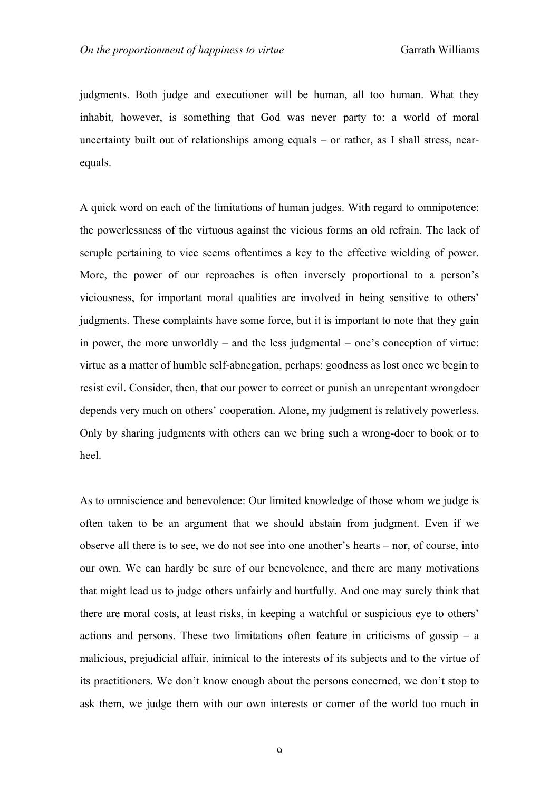judgments. Both judge and executioner will be human, all too human. What they inhabit, however, is something that God was never party to: a world of moral uncertainty built out of relationships among equals – or rather, as I shall stress, nearequals.

A quick word on each of the limitations of human judges. With regard to omnipotence: the powerlessness of the virtuous against the vicious forms an old refrain. The lack of scruple pertaining to vice seems oftentimes a key to the effective wielding of power. More, the power of our reproaches is often inversely proportional to a person's viciousness, for important moral qualities are involved in being sensitive to others' judgments. These complaints have some force, but it is important to note that they gain in power, the more unworldly – and the less judgmental – one's conception of virtue: virtue as a matter of humble self-abnegation, perhaps; goodness as lost once we begin to resist evil. Consider, then, that our power to correct or punish an unrepentant wrongdoer depends very much on others' cooperation. Alone, my judgment is relatively powerless. Only by sharing judgments with others can we bring such a wrong-doer to book or to heel.

As to omniscience and benevolence: Our limited knowledge of those whom we judge is often taken to be an argument that we should abstain from judgment. Even if we observe all there is to see, we do not see into one another's hearts – nor, of course, into our own. We can hardly be sure of our benevolence, and there are many motivations that might lead us to judge others unfairly and hurtfully. And one may surely think that there are moral costs, at least risks, in keeping a watchful or suspicious eye to others' actions and persons. These two limitations often feature in criticisms of gossip  $-$  a malicious, prejudicial affair, inimical to the interests of its subjects and to the virtue of its practitioners. We don't know enough about the persons concerned, we don't stop to ask them, we judge them with our own interests or corner of the world too much in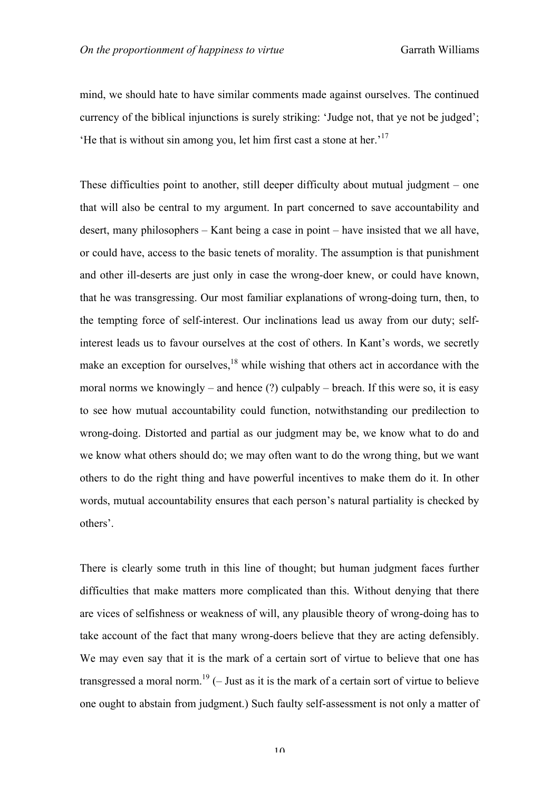mind, we should hate to have similar comments made against ourselves. The continued currency of the biblical injunctions is surely striking: 'Judge not, that ye not be judged'; 'He that is without sin among you, let him first cast a stone at her.'17

These difficulties point to another, still deeper difficulty about mutual judgment – one that will also be central to my argument. In part concerned to save accountability and desert, many philosophers – Kant being a case in point – have insisted that we all have, or could have, access to the basic tenets of morality. The assumption is that punishment and other ill-deserts are just only in case the wrong-doer knew, or could have known, that he was transgressing. Our most familiar explanations of wrong-doing turn, then, to the tempting force of self-interest. Our inclinations lead us away from our duty; selfinterest leads us to favour ourselves at the cost of others. In Kant's words, we secretly make an exception for ourselves,  $18$  while wishing that others act in accordance with the moral norms we knowingly – and hence  $(?)$  culpably – breach. If this were so, it is easy to see how mutual accountability could function, notwithstanding our predilection to wrong-doing. Distorted and partial as our judgment may be, we know what to do and we know what others should do; we may often want to do the wrong thing, but we want others to do the right thing and have powerful incentives to make them do it. In other words, mutual accountability ensures that each person's natural partiality is checked by others'.

There is clearly some truth in this line of thought; but human judgment faces further difficulties that make matters more complicated than this. Without denying that there are vices of selfishness or weakness of will, any plausible theory of wrong-doing has to take account of the fact that many wrong-doers believe that they are acting defensibly. We may even say that it is the mark of a certain sort of virtue to believe that one has transgressed a moral norm.<sup>19</sup> ( $-$  Just as it is the mark of a certain sort of virtue to believe one ought to abstain from judgment.) Such faulty self-assessment is not only a matter of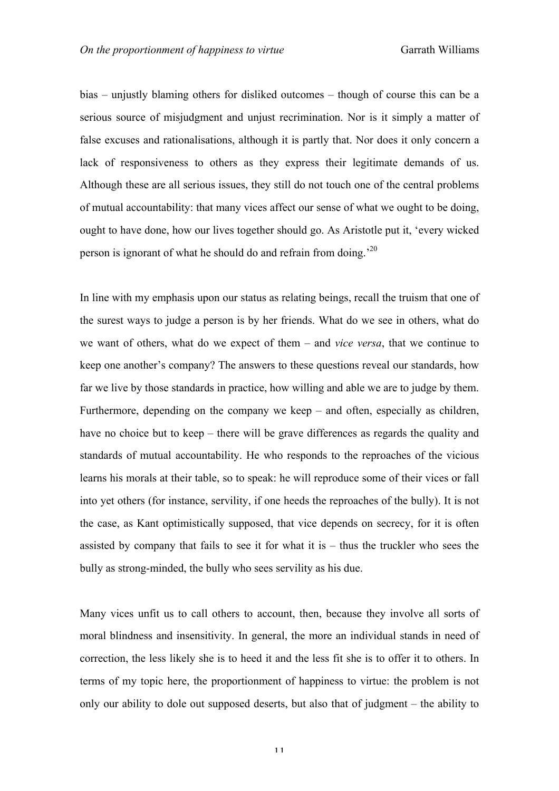bias – unjustly blaming others for disliked outcomes – though of course this can be a serious source of misjudgment and unjust recrimination. Nor is it simply a matter of false excuses and rationalisations, although it is partly that. Nor does it only concern a lack of responsiveness to others as they express their legitimate demands of us. Although these are all serious issues, they still do not touch one of the central problems of mutual accountability: that many vices affect our sense of what we ought to be doing, ought to have done, how our lives together should go. As Aristotle put it, 'every wicked person is ignorant of what he should do and refrain from doing.'<sup>20</sup>

In line with my emphasis upon our status as relating beings, recall the truism that one of the surest ways to judge a person is by her friends. What do we see in others, what do we want of others, what do we expect of them – and *vice versa*, that we continue to keep one another's company? The answers to these questions reveal our standards, how far we live by those standards in practice, how willing and able we are to judge by them. Furthermore, depending on the company we keep – and often, especially as children, have no choice but to keep – there will be grave differences as regards the quality and standards of mutual accountability. He who responds to the reproaches of the vicious learns his morals at their table, so to speak: he will reproduce some of their vices or fall into yet others (for instance, servility, if one heeds the reproaches of the bully). It is not the case, as Kant optimistically supposed, that vice depends on secrecy, for it is often assisted by company that fails to see it for what it is – thus the truckler who sees the bully as strong-minded, the bully who sees servility as his due.

Many vices unfit us to call others to account, then, because they involve all sorts of moral blindness and insensitivity. In general, the more an individual stands in need of correction, the less likely she is to heed it and the less fit she is to offer it to others. In terms of my topic here, the proportionment of happiness to virtue: the problem is not only our ability to dole out supposed deserts, but also that of judgment – the ability to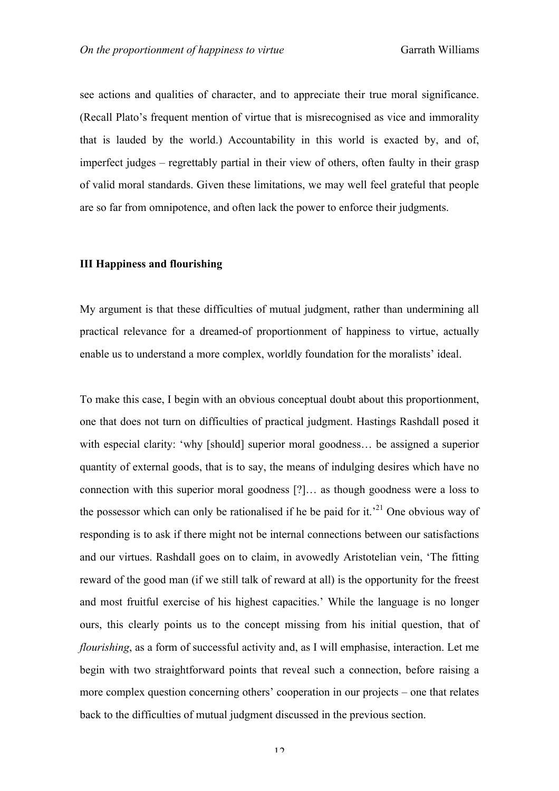see actions and qualities of character, and to appreciate their true moral significance. (Recall Plato's frequent mention of virtue that is misrecognised as vice and immorality that is lauded by the world.) Accountability in this world is exacted by, and of, imperfect judges – regrettably partial in their view of others, often faulty in their grasp of valid moral standards. Given these limitations, we may well feel grateful that people are so far from omnipotence, and often lack the power to enforce their judgments.

#### **III Happiness and flourishing**

My argument is that these difficulties of mutual judgment, rather than undermining all practical relevance for a dreamed-of proportionment of happiness to virtue, actually enable us to understand a more complex, worldly foundation for the moralists' ideal.

To make this case, I begin with an obvious conceptual doubt about this proportionment, one that does not turn on difficulties of practical judgment. Hastings Rashdall posed it with especial clarity: 'why [should] superior moral goodness... be assigned a superior quantity of external goods, that is to say, the means of indulging desires which have no connection with this superior moral goodness [?]… as though goodness were a loss to the possessor which can only be rationalised if he be paid for it.<sup> $21$ </sup> One obvious way of responding is to ask if there might not be internal connections between our satisfactions and our virtues. Rashdall goes on to claim, in avowedly Aristotelian vein, 'The fitting reward of the good man (if we still talk of reward at all) is the opportunity for the freest and most fruitful exercise of his highest capacities.' While the language is no longer ours, this clearly points us to the concept missing from his initial question, that of *flourishing*, as a form of successful activity and, as I will emphasise, interaction. Let me begin with two straightforward points that reveal such a connection, before raising a more complex question concerning others' cooperation in our projects – one that relates back to the difficulties of mutual judgment discussed in the previous section.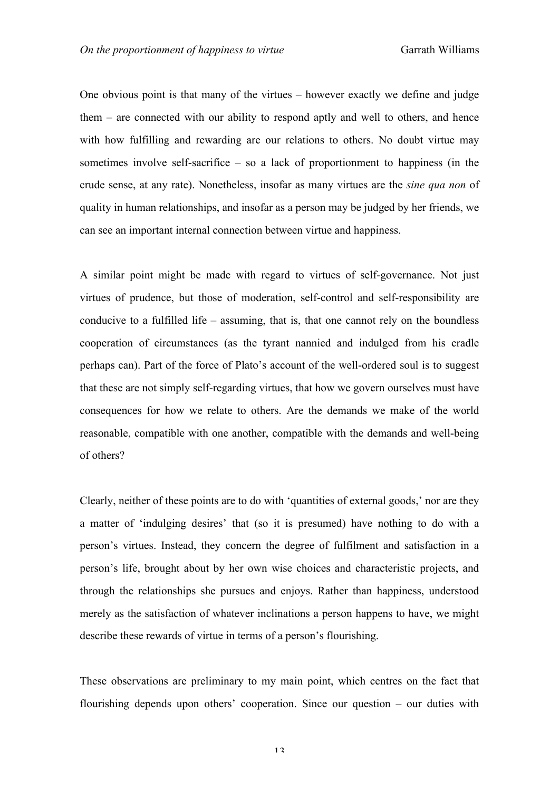One obvious point is that many of the virtues – however exactly we define and judge them – are connected with our ability to respond aptly and well to others, and hence with how fulfilling and rewarding are our relations to others. No doubt virtue may sometimes involve self-sacrifice – so a lack of proportionment to happiness (in the crude sense, at any rate). Nonetheless, insofar as many virtues are the *sine qua non* of quality in human relationships, and insofar as a person may be judged by her friends, we can see an important internal connection between virtue and happiness.

A similar point might be made with regard to virtues of self-governance. Not just virtues of prudence, but those of moderation, self-control and self-responsibility are conducive to a fulfilled life – assuming, that is, that one cannot rely on the boundless cooperation of circumstances (as the tyrant nannied and indulged from his cradle perhaps can). Part of the force of Plato's account of the well-ordered soul is to suggest that these are not simply self-regarding virtues, that how we govern ourselves must have consequences for how we relate to others. Are the demands we make of the world reasonable, compatible with one another, compatible with the demands and well-being of others?

Clearly, neither of these points are to do with 'quantities of external goods,' nor are they a matter of 'indulging desires' that (so it is presumed) have nothing to do with a person's virtues. Instead, they concern the degree of fulfilment and satisfaction in a person's life, brought about by her own wise choices and characteristic projects, and through the relationships she pursues and enjoys. Rather than happiness, understood merely as the satisfaction of whatever inclinations a person happens to have, we might describe these rewards of virtue in terms of a person's flourishing.

These observations are preliminary to my main point, which centres on the fact that flourishing depends upon others' cooperation. Since our question – our duties with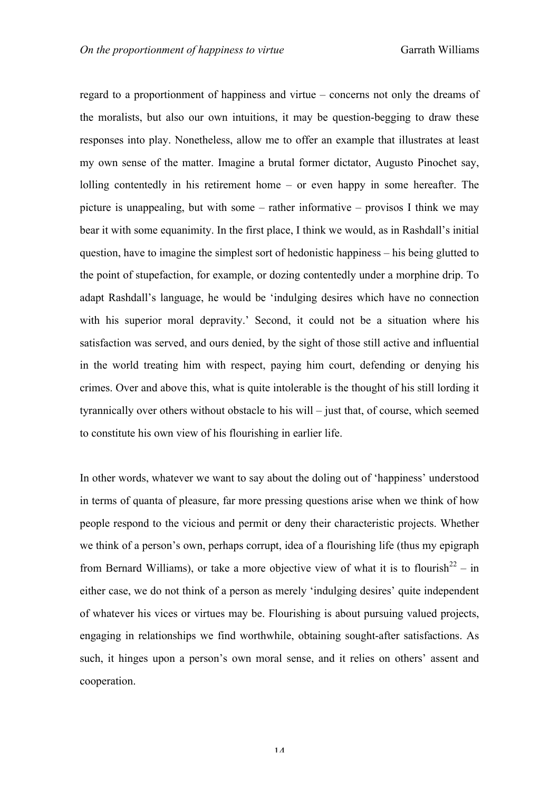regard to a proportionment of happiness and virtue – concerns not only the dreams of the moralists, but also our own intuitions, it may be question-begging to draw these responses into play. Nonetheless, allow me to offer an example that illustrates at least my own sense of the matter. Imagine a brutal former dictator, Augusto Pinochet say, lolling contentedly in his retirement home – or even happy in some hereafter. The picture is unappealing, but with some – rather informative – provisos I think we may bear it with some equanimity. In the first place, I think we would, as in Rashdall's initial question, have to imagine the simplest sort of hedonistic happiness – his being glutted to the point of stupefaction, for example, or dozing contentedly under a morphine drip. To adapt Rashdall's language, he would be 'indulging desires which have no connection with his superior moral depravity.' Second, it could not be a situation where his satisfaction was served, and ours denied, by the sight of those still active and influential in the world treating him with respect, paying him court, defending or denying his crimes. Over and above this, what is quite intolerable is the thought of his still lording it tyrannically over others without obstacle to his will – just that, of course, which seemed to constitute his own view of his flourishing in earlier life.

In other words, whatever we want to say about the doling out of 'happiness' understood in terms of quanta of pleasure, far more pressing questions arise when we think of how people respond to the vicious and permit or deny their characteristic projects. Whether we think of a person's own, perhaps corrupt, idea of a flourishing life (thus my epigraph from Bernard Williams), or take a more objective view of what it is to flourish<sup>22</sup> – in either case, we do not think of a person as merely 'indulging desires' quite independent of whatever his vices or virtues may be. Flourishing is about pursuing valued projects, engaging in relationships we find worthwhile, obtaining sought-after satisfactions. As such, it hinges upon a person's own moral sense, and it relies on others' assent and cooperation.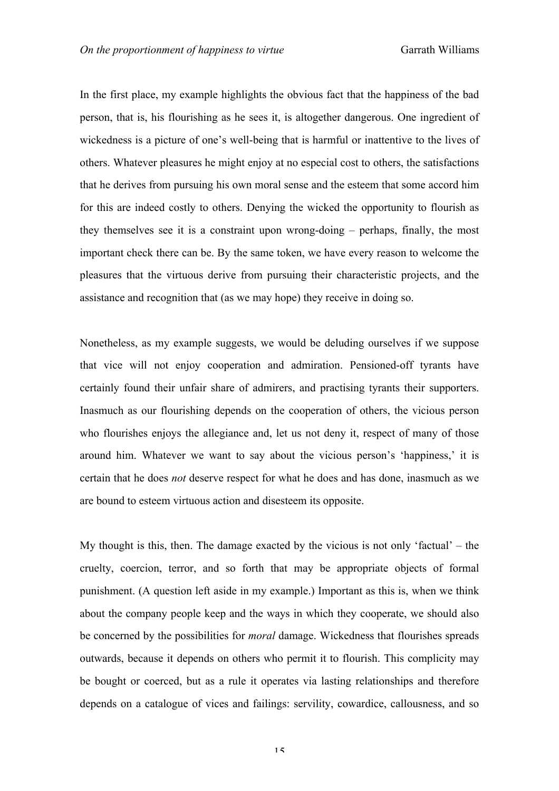In the first place, my example highlights the obvious fact that the happiness of the bad person, that is, his flourishing as he sees it, is altogether dangerous. One ingredient of wickedness is a picture of one's well-being that is harmful or inattentive to the lives of others. Whatever pleasures he might enjoy at no especial cost to others, the satisfactions that he derives from pursuing his own moral sense and the esteem that some accord him for this are indeed costly to others. Denying the wicked the opportunity to flourish as they themselves see it is a constraint upon wrong-doing – perhaps, finally, the most important check there can be. By the same token, we have every reason to welcome the pleasures that the virtuous derive from pursuing their characteristic projects, and the assistance and recognition that (as we may hope) they receive in doing so.

Nonetheless, as my example suggests, we would be deluding ourselves if we suppose that vice will not enjoy cooperation and admiration. Pensioned-off tyrants have certainly found their unfair share of admirers, and practising tyrants their supporters. Inasmuch as our flourishing depends on the cooperation of others, the vicious person who flourishes enjoys the allegiance and, let us not deny it, respect of many of those around him. Whatever we want to say about the vicious person's 'happiness,' it is certain that he does *not* deserve respect for what he does and has done, inasmuch as we are bound to esteem virtuous action and disesteem its opposite.

My thought is this, then. The damage exacted by the vicious is not only 'factual' – the cruelty, coercion, terror, and so forth that may be appropriate objects of formal punishment. (A question left aside in my example.) Important as this is, when we think about the company people keep and the ways in which they cooperate, we should also be concerned by the possibilities for *moral* damage. Wickedness that flourishes spreads outwards, because it depends on others who permit it to flourish. This complicity may be bought or coerced, but as a rule it operates via lasting relationships and therefore depends on a catalogue of vices and failings: servility, cowardice, callousness, and so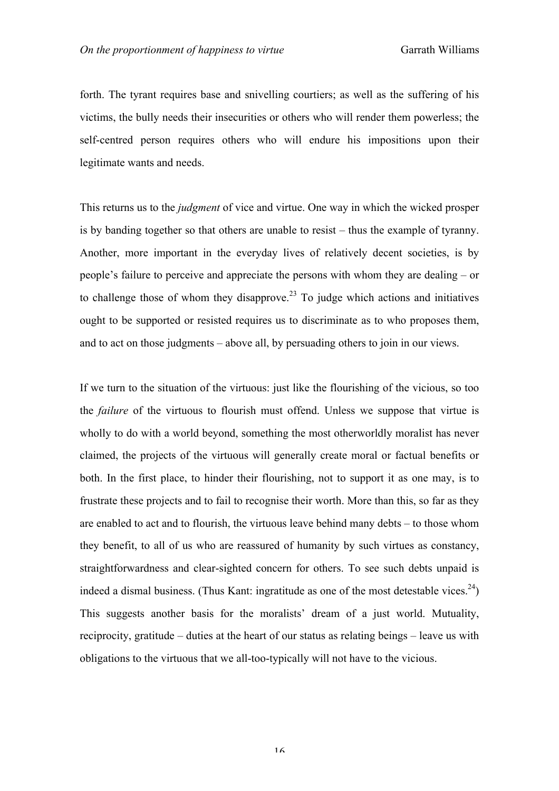forth. The tyrant requires base and snivelling courtiers; as well as the suffering of his victims, the bully needs their insecurities or others who will render them powerless; the self-centred person requires others who will endure his impositions upon their legitimate wants and needs.

This returns us to the *judgment* of vice and virtue. One way in which the wicked prosper is by banding together so that others are unable to resist – thus the example of tyranny. Another, more important in the everyday lives of relatively decent societies, is by people's failure to perceive and appreciate the persons with whom they are dealing – or to challenge those of whom they disapprove.<sup>23</sup> To judge which actions and initiatives ought to be supported or resisted requires us to discriminate as to who proposes them, and to act on those judgments – above all, by persuading others to join in our views.

If we turn to the situation of the virtuous: just like the flourishing of the vicious, so too the *failure* of the virtuous to flourish must offend. Unless we suppose that virtue is wholly to do with a world beyond, something the most otherworldly moralist has never claimed, the projects of the virtuous will generally create moral or factual benefits or both. In the first place, to hinder their flourishing, not to support it as one may, is to frustrate these projects and to fail to recognise their worth. More than this, so far as they are enabled to act and to flourish, the virtuous leave behind many debts – to those whom they benefit, to all of us who are reassured of humanity by such virtues as constancy, straightforwardness and clear-sighted concern for others. To see such debts unpaid is indeed a dismal business. (Thus Kant: ingratitude as one of the most detestable vices.<sup>24</sup>) This suggests another basis for the moralists' dream of a just world. Mutuality, reciprocity, gratitude – duties at the heart of our status as relating beings – leave us with obligations to the virtuous that we all-too-typically will not have to the vicious.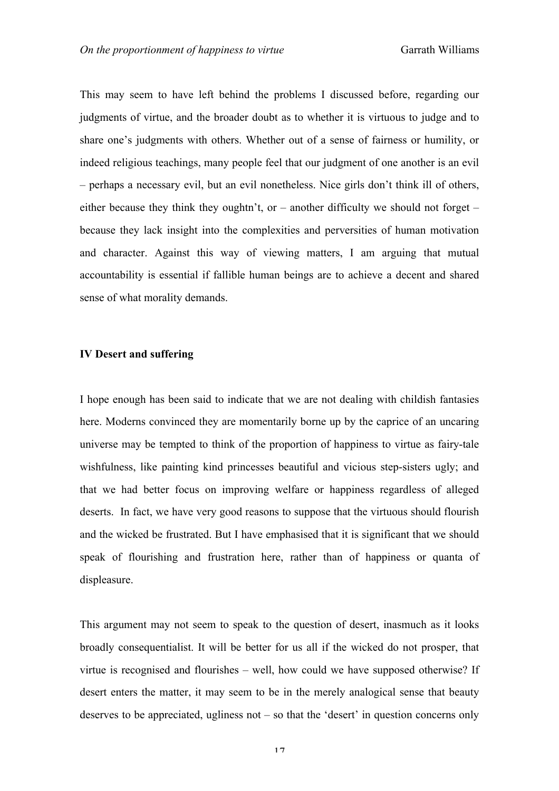This may seem to have left behind the problems I discussed before, regarding our judgments of virtue, and the broader doubt as to whether it is virtuous to judge and to share one's judgments with others. Whether out of a sense of fairness or humility, or indeed religious teachings, many people feel that our judgment of one another is an evil – perhaps a necessary evil, but an evil nonetheless. Nice girls don't think ill of others, either because they think they oughtn't, or – another difficulty we should not forget – because they lack insight into the complexities and perversities of human motivation and character. Against this way of viewing matters, I am arguing that mutual accountability is essential if fallible human beings are to achieve a decent and shared sense of what morality demands.

## **IV Desert and suffering**

I hope enough has been said to indicate that we are not dealing with childish fantasies here. Moderns convinced they are momentarily borne up by the caprice of an uncaring universe may be tempted to think of the proportion of happiness to virtue as fairy-tale wishfulness, like painting kind princesses beautiful and vicious step-sisters ugly; and that we had better focus on improving welfare or happiness regardless of alleged deserts. In fact, we have very good reasons to suppose that the virtuous should flourish and the wicked be frustrated. But I have emphasised that it is significant that we should speak of flourishing and frustration here, rather than of happiness or quanta of displeasure.

This argument may not seem to speak to the question of desert, inasmuch as it looks broadly consequentialist. It will be better for us all if the wicked do not prosper, that virtue is recognised and flourishes – well, how could we have supposed otherwise? If desert enters the matter, it may seem to be in the merely analogical sense that beauty deserves to be appreciated, ugliness not – so that the 'desert' in question concerns only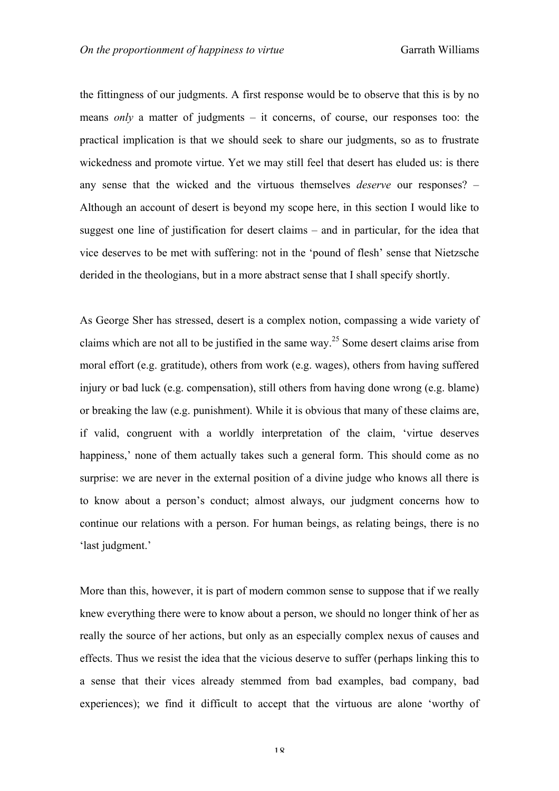the fittingness of our judgments. A first response would be to observe that this is by no means *only* a matter of judgments – it concerns, of course, our responses too: the practical implication is that we should seek to share our judgments, so as to frustrate wickedness and promote virtue. Yet we may still feel that desert has eluded us: is there any sense that the wicked and the virtuous themselves *deserve* our responses? – Although an account of desert is beyond my scope here, in this section I would like to suggest one line of justification for desert claims – and in particular, for the idea that vice deserves to be met with suffering: not in the 'pound of flesh' sense that Nietzsche derided in the theologians, but in a more abstract sense that I shall specify shortly.

As George Sher has stressed, desert is a complex notion, compassing a wide variety of claims which are not all to be justified in the same way.<sup>25</sup> Some desert claims arise from moral effort (e.g. gratitude), others from work (e.g. wages), others from having suffered injury or bad luck (e.g. compensation), still others from having done wrong (e.g. blame) or breaking the law (e.g. punishment). While it is obvious that many of these claims are, if valid, congruent with a worldly interpretation of the claim, 'virtue deserves happiness,' none of them actually takes such a general form. This should come as no surprise: we are never in the external position of a divine judge who knows all there is to know about a person's conduct; almost always, our judgment concerns how to continue our relations with a person. For human beings, as relating beings, there is no 'last judgment.'

More than this, however, it is part of modern common sense to suppose that if we really knew everything there were to know about a person, we should no longer think of her as really the source of her actions, but only as an especially complex nexus of causes and effects. Thus we resist the idea that the vicious deserve to suffer (perhaps linking this to a sense that their vices already stemmed from bad examples, bad company, bad experiences); we find it difficult to accept that the virtuous are alone 'worthy of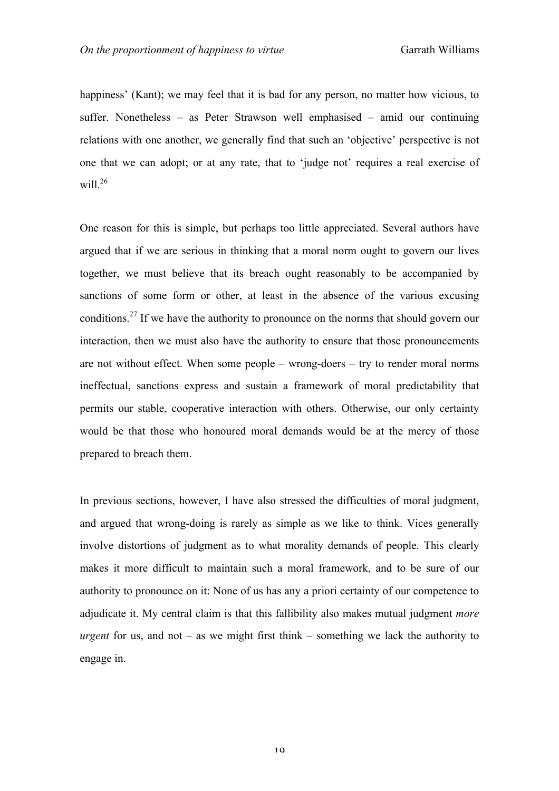happiness' (Kant); we may feel that it is bad for any person, no matter how vicious, to suffer. Nonetheless – as Peter Strawson well emphasised – amid our continuing relations with one another, we generally find that such an 'objective' perspective is not one that we can adopt; or at any rate, that to 'judge not' requires a real exercise of will. $^{26}$ 

One reason for this is simple, but perhaps too little appreciated. Several authors have argued that if we are serious in thinking that a moral norm ought to govern our lives together, we must believe that its breach ought reasonably to be accompanied by sanctions of some form or other, at least in the absence of the various excusing conditions.<sup>27</sup> If we have the authority to pronounce on the norms that should govern our interaction, then we must also have the authority to ensure that those pronouncements are not without effect. When some people – wrong-doers – try to render moral norms ineffectual, sanctions express and sustain a framework of moral predictability that permits our stable, cooperative interaction with others. Otherwise, our only certainty would be that those who honoured moral demands would be at the mercy of those prepared to breach them.

In previous sections, however, I have also stressed the difficulties of moral judgment, and argued that wrong-doing is rarely as simple as we like to think. Vices generally involve distortions of judgment as to what morality demands of people. This clearly makes it more difficult to maintain such a moral framework, and to be sure of our authority to pronounce on it: None of us has any a priori certainty of our competence to adjudicate it. My central claim is that this fallibility also makes mutual judgment *more urgent* for us, and not – as we might first think – something we lack the authority to engage in.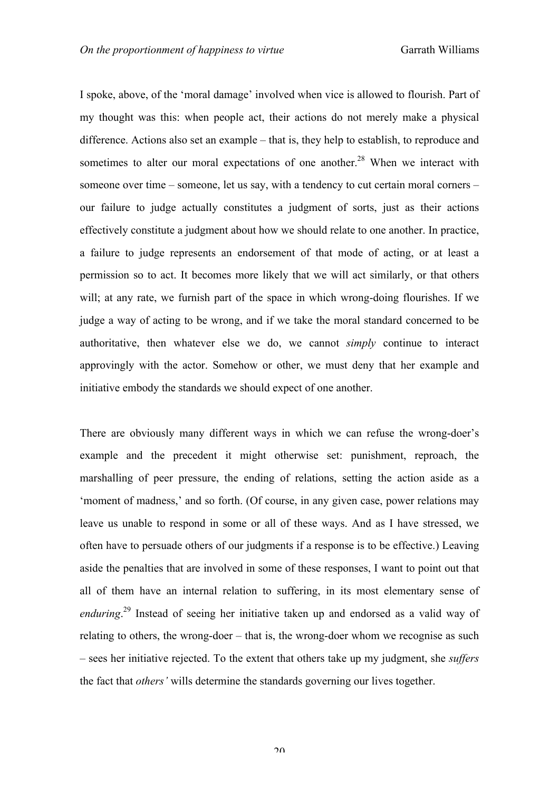I spoke, above, of the 'moral damage' involved when vice is allowed to flourish. Part of my thought was this: when people act, their actions do not merely make a physical difference. Actions also set an example – that is, they help to establish, to reproduce and sometimes to alter our moral expectations of one another.<sup>28</sup> When we interact with someone over time – someone, let us say, with a tendency to cut certain moral corners – our failure to judge actually constitutes a judgment of sorts, just as their actions effectively constitute a judgment about how we should relate to one another. In practice, a failure to judge represents an endorsement of that mode of acting, or at least a permission so to act. It becomes more likely that we will act similarly, or that others will; at any rate, we furnish part of the space in which wrong-doing flourishes. If we judge a way of acting to be wrong, and if we take the moral standard concerned to be authoritative, then whatever else we do, we cannot *simply* continue to interact approvingly with the actor. Somehow or other, we must deny that her example and initiative embody the standards we should expect of one another.

There are obviously many different ways in which we can refuse the wrong-doer's example and the precedent it might otherwise set: punishment, reproach, the marshalling of peer pressure, the ending of relations, setting the action aside as a 'moment of madness,' and so forth. (Of course, in any given case, power relations may leave us unable to respond in some or all of these ways. And as I have stressed, we often have to persuade others of our judgments if a response is to be effective.) Leaving aside the penalties that are involved in some of these responses, I want to point out that all of them have an internal relation to suffering, in its most elementary sense of *enduring*. 29 Instead of seeing her initiative taken up and endorsed as a valid way of relating to others, the wrong-doer – that is, the wrong-doer whom we recognise as such – sees her initiative rejected. To the extent that others take up my judgment, she *suffers* the fact that *others'* wills determine the standards governing our lives together.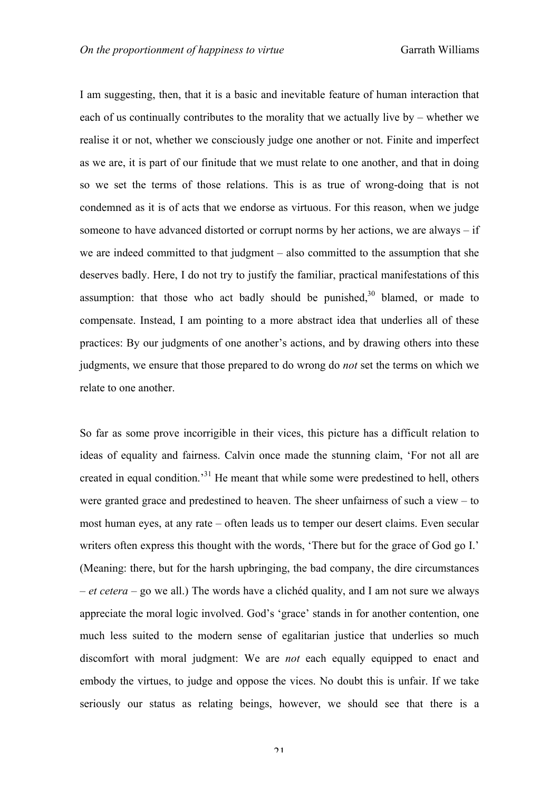I am suggesting, then, that it is a basic and inevitable feature of human interaction that each of us continually contributes to the morality that we actually live by – whether we realise it or not, whether we consciously judge one another or not. Finite and imperfect as we are, it is part of our finitude that we must relate to one another, and that in doing so we set the terms of those relations. This is as true of wrong-doing that is not condemned as it is of acts that we endorse as virtuous. For this reason, when we judge someone to have advanced distorted or corrupt norms by her actions, we are always – if we are indeed committed to that judgment – also committed to the assumption that she deserves badly. Here, I do not try to justify the familiar, practical manifestations of this assumption: that those who act badly should be punished,  $30$  blamed, or made to compensate. Instead, I am pointing to a more abstract idea that underlies all of these practices: By our judgments of one another's actions, and by drawing others into these judgments, we ensure that those prepared to do wrong do *not* set the terms on which we relate to one another.

So far as some prove incorrigible in their vices, this picture has a difficult relation to ideas of equality and fairness. Calvin once made the stunning claim, 'For not all are created in equal condition.'31 He meant that while some were predestined to hell, others were granted grace and predestined to heaven. The sheer unfairness of such a view – to most human eyes, at any rate – often leads us to temper our desert claims. Even secular writers often express this thought with the words, 'There but for the grace of God go I.' (Meaning: there, but for the harsh upbringing, the bad company, the dire circumstances – *et cetera* – go we all.) The words have a clichéd quality, and I am not sure we always appreciate the moral logic involved. God's 'grace' stands in for another contention, one much less suited to the modern sense of egalitarian justice that underlies so much discomfort with moral judgment: We are *not* each equally equipped to enact and embody the virtues, to judge and oppose the vices. No doubt this is unfair. If we take seriously our status as relating beings, however, we should see that there is a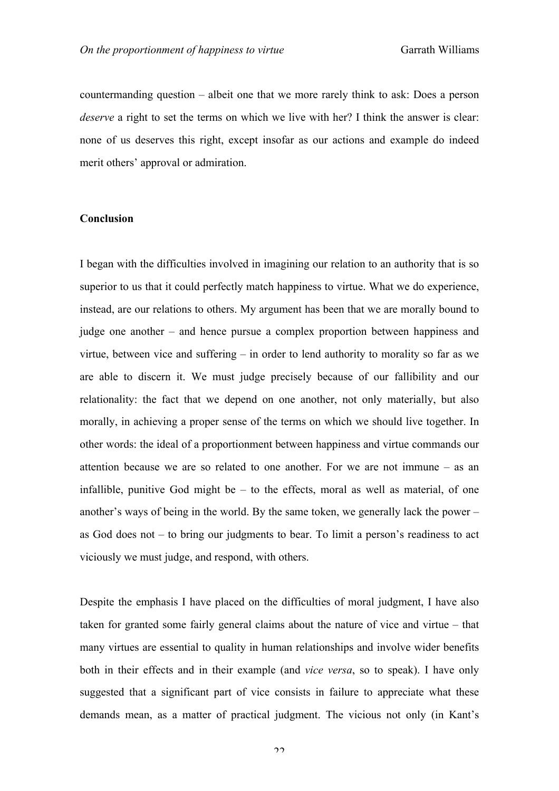countermanding question – albeit one that we more rarely think to ask: Does a person *deserve* a right to set the terms on which we live with her? I think the answer is clear: none of us deserves this right, except insofar as our actions and example do indeed merit others' approval or admiration.

#### **Conclusion**

I began with the difficulties involved in imagining our relation to an authority that is so superior to us that it could perfectly match happiness to virtue. What we do experience, instead, are our relations to others. My argument has been that we are morally bound to judge one another – and hence pursue a complex proportion between happiness and virtue, between vice and suffering – in order to lend authority to morality so far as we are able to discern it. We must judge precisely because of our fallibility and our relationality: the fact that we depend on one another, not only materially, but also morally, in achieving a proper sense of the terms on which we should live together. In other words: the ideal of a proportionment between happiness and virtue commands our attention because we are so related to one another. For we are not immune – as an infallible, punitive God might be – to the effects, moral as well as material, of one another's ways of being in the world. By the same token, we generally lack the power – as God does not – to bring our judgments to bear. To limit a person's readiness to act viciously we must judge, and respond, with others.

Despite the emphasis I have placed on the difficulties of moral judgment, I have also taken for granted some fairly general claims about the nature of vice and virtue – that many virtues are essential to quality in human relationships and involve wider benefits both in their effects and in their example (and *vice versa*, so to speak). I have only suggested that a significant part of vice consists in failure to appreciate what these demands mean, as a matter of practical judgment. The vicious not only (in Kant's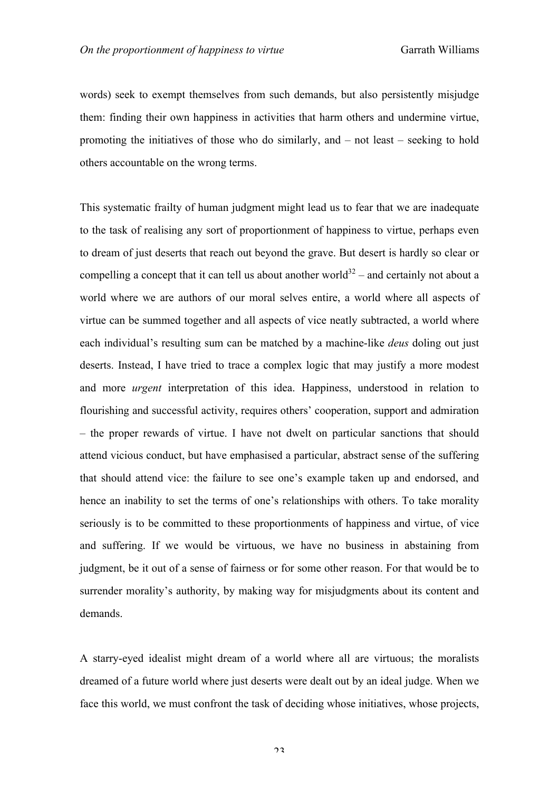words) seek to exempt themselves from such demands, but also persistently misjudge them: finding their own happiness in activities that harm others and undermine virtue, promoting the initiatives of those who do similarly, and – not least – seeking to hold others accountable on the wrong terms.

This systematic frailty of human judgment might lead us to fear that we are inadequate to the task of realising any sort of proportionment of happiness to virtue, perhaps even to dream of just deserts that reach out beyond the grave. But desert is hardly so clear or compelling a concept that it can tell us about another world<sup>32</sup> – and certainly not about a world where we are authors of our moral selves entire, a world where all aspects of virtue can be summed together and all aspects of vice neatly subtracted, a world where each individual's resulting sum can be matched by a machine-like *deus* doling out just deserts. Instead, I have tried to trace a complex logic that may justify a more modest and more *urgent* interpretation of this idea. Happiness, understood in relation to flourishing and successful activity, requires others' cooperation, support and admiration – the proper rewards of virtue. I have not dwelt on particular sanctions that should attend vicious conduct, but have emphasised a particular, abstract sense of the suffering that should attend vice: the failure to see one's example taken up and endorsed, and hence an inability to set the terms of one's relationships with others. To take morality seriously is to be committed to these proportionments of happiness and virtue, of vice and suffering. If we would be virtuous, we have no business in abstaining from judgment, be it out of a sense of fairness or for some other reason. For that would be to surrender morality's authority, by making way for misjudgments about its content and demands.

A starry-eyed idealist might dream of a world where all are virtuous; the moralists dreamed of a future world where just deserts were dealt out by an ideal judge. When we face this world, we must confront the task of deciding whose initiatives, whose projects,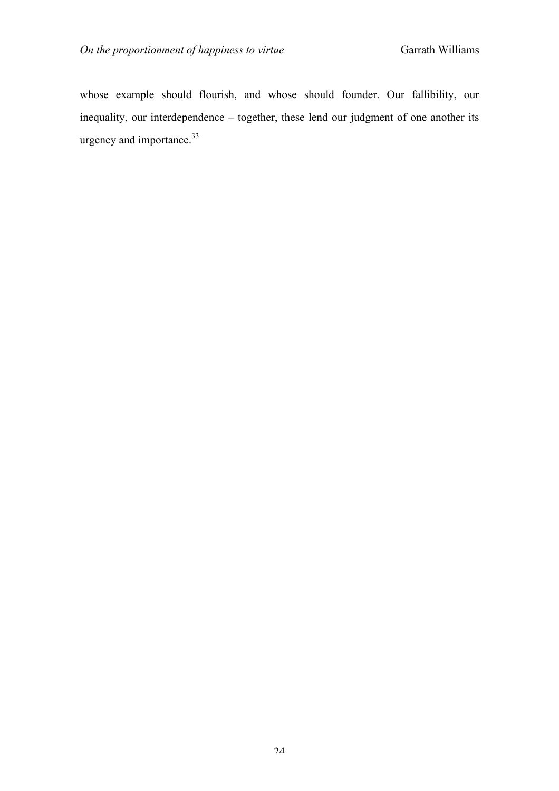whose example should flourish, and whose should founder. Our fallibility, our inequality, our interdependence – together, these lend our judgment of one another its urgency and importance.<sup>33</sup>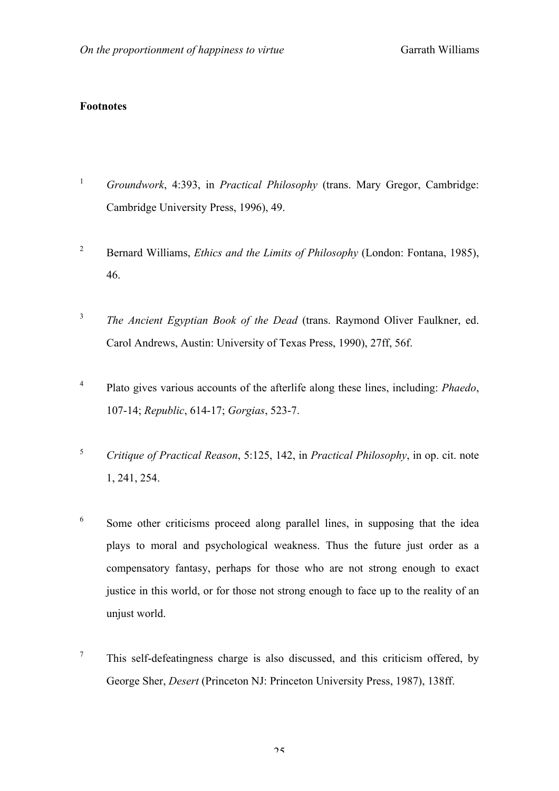## **Footnotes**

- <sup>1</sup> *Groundwork*, 4:393, in *Practical Philosophy* (trans. Mary Gregor, Cambridge: Cambridge University Press, 1996), 49.
- <sup>2</sup> Bernard Williams, *Ethics and the Limits of Philosophy* (London: Fontana, 1985), 46.
- <sup>3</sup> *The Ancient Egyptian Book of the Dead* (trans. Raymond Oliver Faulkner, ed. Carol Andrews, Austin: University of Texas Press, 1990), 27ff, 56f.
- <sup>4</sup> Plato gives various accounts of the afterlife along these lines, including: *Phaedo*, 107-14; *Republic*, 614-17; *Gorgias*, 523-7.
- <sup>5</sup> *Critique of Practical Reason*, 5:125, 142, in *Practical Philosophy*, in op. cit. note 1, 241, 254.
- <sup>6</sup> Some other criticisms proceed along parallel lines, in supposing that the idea plays to moral and psychological weakness. Thus the future just order as a compensatory fantasy, perhaps for those who are not strong enough to exact justice in this world, or for those not strong enough to face up to the reality of an unjust world.
- <sup>7</sup> This self-defeatingness charge is also discussed, and this criticism offered, by George Sher, *Desert* (Princeton NJ: Princeton University Press, 1987), 138ff.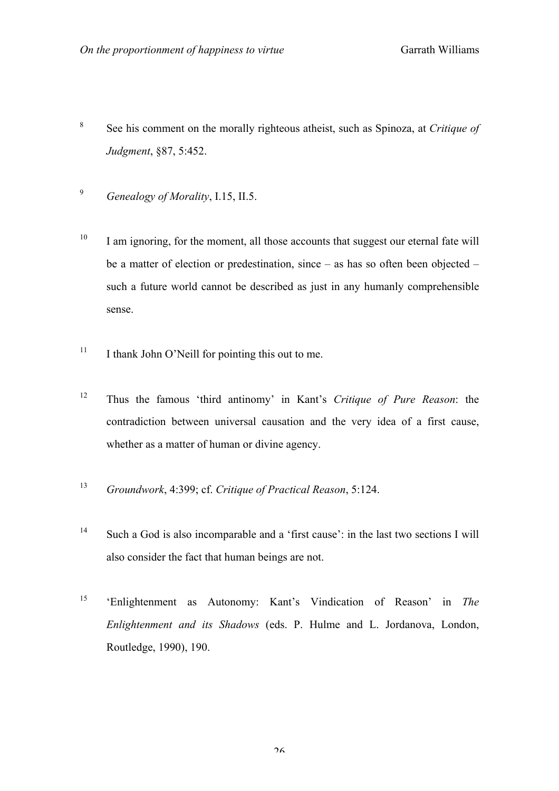- <sup>8</sup> See his comment on the morally righteous atheist, such as Spinoza, at *Critique of Judgment*, §87, 5:452.
- <sup>9</sup> *Genealogy of Morality*, I.15, II.5.
- $10$  I am ignoring, for the moment, all those accounts that suggest our eternal fate will be a matter of election or predestination, since – as has so often been objected – such a future world cannot be described as just in any humanly comprehensible sense.
- $11$  I thank John O'Neill for pointing this out to me.
- <sup>12</sup> Thus the famous 'third antinomy' in Kant's *Critique of Pure Reason*: the contradiction between universal causation and the very idea of a first cause, whether as a matter of human or divine agency.
- <sup>13</sup> *Groundwork*, 4:399; cf. *Critique of Practical Reason*, 5:124.
- <sup>14</sup> Such a God is also incomparable and a 'first cause': in the last two sections I will also consider the fact that human beings are not.
- <sup>15</sup> 'Enlightenment as Autonomy: Kant's Vindication of Reason' in *The Enlightenment and its Shadows* (eds. P. Hulme and L. Jordanova, London, Routledge, 1990), 190.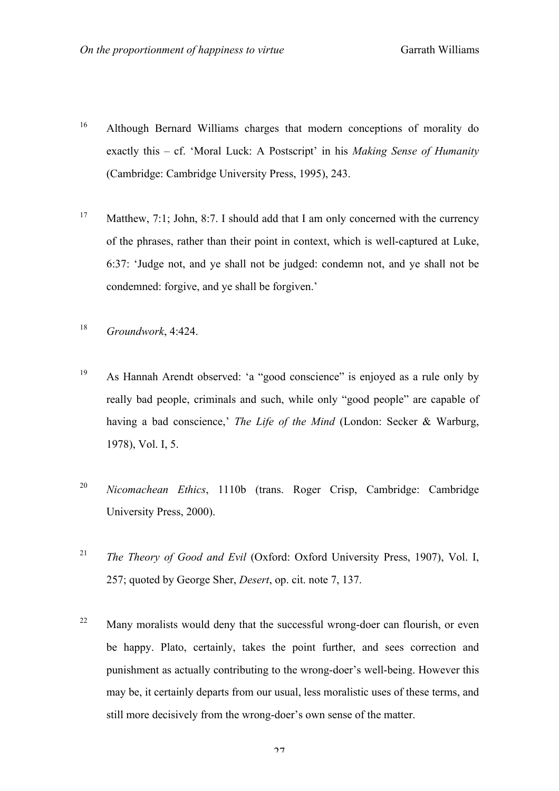- <sup>16</sup> Although Bernard Williams charges that modern conceptions of morality do exactly this – cf. 'Moral Luck: A Postscript' in his *Making Sense of Humanity* (Cambridge: Cambridge University Press, 1995), 243.
- <sup>17</sup> Matthew, 7:1; John, 8:7. I should add that I am only concerned with the currency of the phrases, rather than their point in context, which is well-captured at Luke, 6:37: 'Judge not, and ye shall not be judged: condemn not, and ye shall not be condemned: forgive, and ye shall be forgiven.'
- <sup>18</sup> *Groundwork*, 4:424.
- <sup>19</sup> As Hannah Arendt observed: 'a "good conscience" is enjoyed as a rule only by really bad people, criminals and such, while only "good people" are capable of having a bad conscience,' *The Life of the Mind* (London: Secker & Warburg, 1978), Vol. I, 5.
- <sup>20</sup> *Nicomachean Ethics*, 1110b (trans. Roger Crisp, Cambridge: Cambridge University Press, 2000).
- <sup>21</sup> *The Theory of Good and Evil* (Oxford: Oxford University Press, 1907), Vol. I, 257; quoted by George Sher, *Desert*, op. cit. note 7, 137.
- <sup>22</sup> Many moralists would deny that the successful wrong-doer can flourish, or even be happy. Plato, certainly, takes the point further, and sees correction and punishment as actually contributing to the wrong-doer's well-being. However this may be, it certainly departs from our usual, less moralistic uses of these terms, and still more decisively from the wrong-doer's own sense of the matter.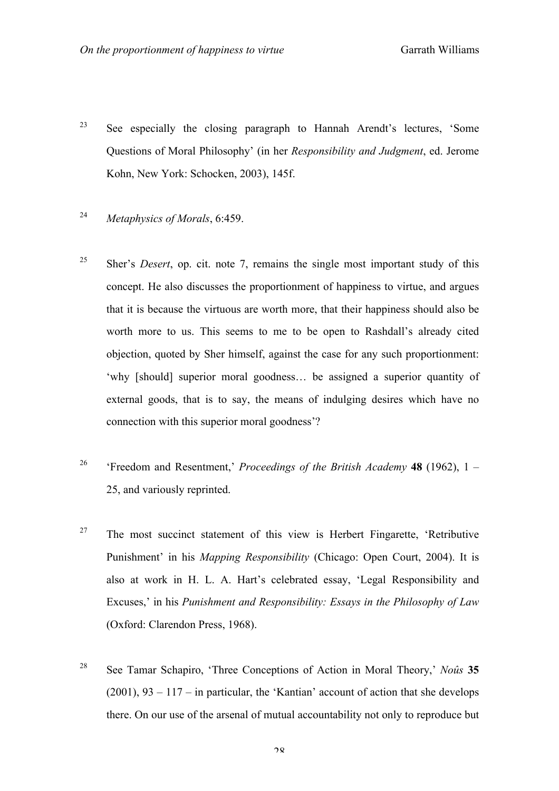- <sup>23</sup> See especially the closing paragraph to Hannah Arendt's lectures, 'Some Questions of Moral Philosophy' (in her *Responsibility and Judgment*, ed. Jerome Kohn, New York: Schocken, 2003), 145f.
- <sup>24</sup> *Metaphysics of Morals*, 6:459.
- <sup>25</sup> Sher's *Desert*, op. cit. note 7, remains the single most important study of this concept. He also discusses the proportionment of happiness to virtue, and argues that it is because the virtuous are worth more, that their happiness should also be worth more to us. This seems to me to be open to Rashdall's already cited objection, quoted by Sher himself, against the case for any such proportionment: 'why [should] superior moral goodness… be assigned a superior quantity of external goods, that is to say, the means of indulging desires which have no connection with this superior moral goodness'?
- <sup>26</sup> 'Freedom and Resentment,' *Proceedings of the British Academy* **48** (1962), 1 25, and variously reprinted.
- <sup>27</sup> The most succinct statement of this view is Herbert Fingarette, 'Retributive' Punishment' in his *Mapping Responsibility* (Chicago: Open Court, 2004). It is also at work in H. L. A. Hart's celebrated essay, 'Legal Responsibility and Excuses,' in his *Punishment and Responsibility: Essays in the Philosophy of Law* (Oxford: Clarendon Press, 1968).
- <sup>28</sup> See Tamar Schapiro, 'Three Conceptions of Action in Moral Theory,' *Noûs* **35** (2001), 93 – 117 – in particular, the 'Kantian' account of action that she develops there. On our use of the arsenal of mutual accountability not only to reproduce but